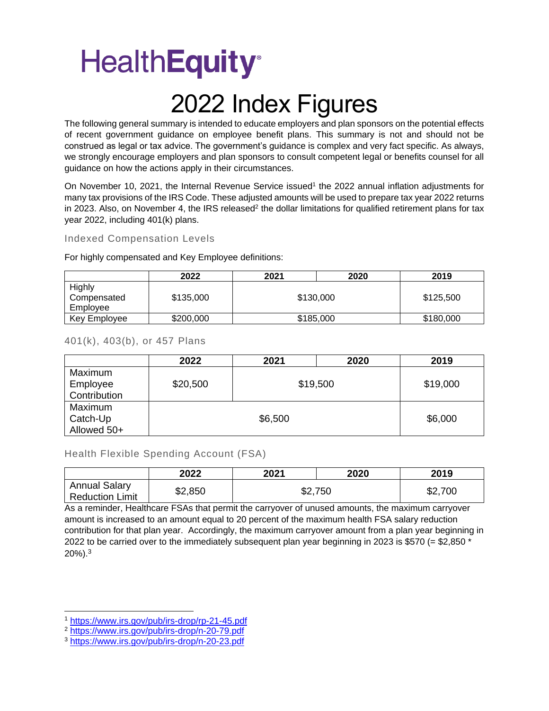### 2022 Index Figures

The following general summary is intended to educate employers and plan sponsors on the potential effects of recent government guidance on employee benefit plans. This summary is not and should not be construed as legal or tax advice. The government's guidance is complex and very fact specific. As always, we strongly encourage employers and plan sponsors to consult competent legal or benefits counsel for all guidance on how the actions apply in their circumstances.

On November 10, 2021, the Internal Revenue Service issued<sup>1</sup> the 2022 annual inflation adjustments for many tax provisions of the IRS Code. These adjusted amounts will be used to prepare tax year 2022 returns in 2023. Also, on November 4, the IRS released<sup>2</sup> the dollar limitations for qualified retirement plans for tax year 2022, including 401(k) plans.

#### Indexed Compensation Levels

For highly compensated and Key Employee definitions:

|                                   | 2022      | 2021      | 2020 | 2019      |
|-----------------------------------|-----------|-----------|------|-----------|
| Highly<br>Compensated<br>Employee | \$135,000 | \$130,000 |      | \$125,500 |
| Key Employee                      | \$200,000 | \$185,000 |      | \$180,000 |

#### 401(k), 403(b), or 457 Plans

|              | 2022     | 2021    | 2020     | 2019     |
|--------------|----------|---------|----------|----------|
| Maximum      |          |         |          |          |
| Employee     | \$20,500 |         | \$19,500 | \$19,000 |
| Contribution |          |         |          |          |
| Maximum      |          |         |          |          |
| Catch-Up     |          | \$6,500 | \$6,000  |          |
| Allowed 50+  |          |         |          |          |

#### Health Flexible Spending Account (FSA)

|                                                | 2022    | 2021    | 2020 | 2019    |
|------------------------------------------------|---------|---------|------|---------|
| <b>Annual Salary</b><br><b>Reduction Limit</b> | \$2,850 | \$2,750 |      | \$2,700 |

As a reminder, Healthcare FSAs that permit the carryover of unused amounts, the maximum carryover amount is increased to an amount equal to 20 percent of the maximum health FSA salary reduction contribution for that plan year. Accordingly, the maximum carryover amount from a plan year beginning in 2022 to be carried over to the immediately subsequent plan year beginning in 2023 is \$570 (= \$2,850 \* 20%).<sup>3</sup>

<sup>1</sup> <https://www.irs.gov/pub/irs-drop/rp-21-45.pdf>

<sup>2</sup> <https://www.irs.gov/pub/irs-drop/n-20-79.pdf>

<sup>3</sup> <https://www.irs.gov/pub/irs-drop/n-20-23.pdf>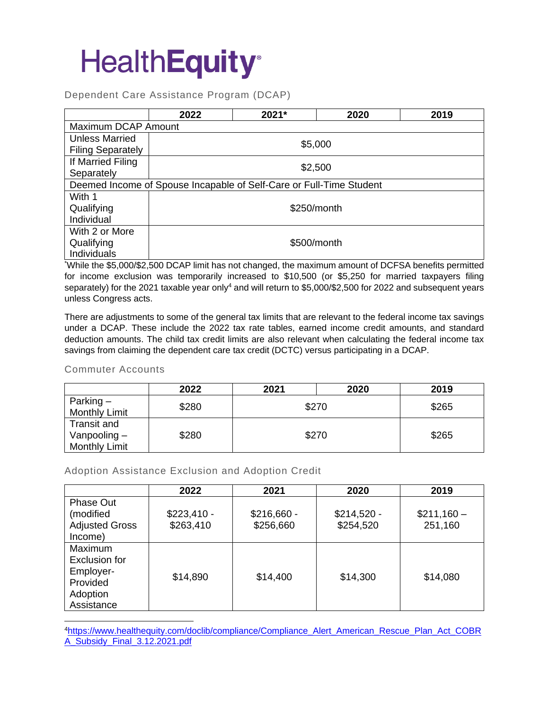Dependent Care Assistance Program (DCAP)

|                          | 2022                | 2021*                                                               | 2020    | 2019 |  |  |  |
|--------------------------|---------------------|---------------------------------------------------------------------|---------|------|--|--|--|
|                          | Maximum DCAP Amount |                                                                     |         |      |  |  |  |
| <b>Unless Married</b>    |                     |                                                                     | \$5,000 |      |  |  |  |
| <b>Filing Separately</b> |                     |                                                                     |         |      |  |  |  |
| If Married Filing        |                     |                                                                     |         |      |  |  |  |
| Separately               | \$2,500             |                                                                     |         |      |  |  |  |
|                          |                     | Deemed Income of Spouse Incapable of Self-Care or Full-Time Student |         |      |  |  |  |
| With 1                   |                     |                                                                     |         |      |  |  |  |
| Qualifying               | \$250/month         |                                                                     |         |      |  |  |  |
| Individual               |                     |                                                                     |         |      |  |  |  |
| With 2 or More           |                     |                                                                     |         |      |  |  |  |
| Qualifying               | \$500/month         |                                                                     |         |      |  |  |  |
| Individuals              |                     |                                                                     |         |      |  |  |  |

\*While the \$5,000/\$2,500 DCAP limit has not changed, the maximum amount of DCFSA benefits permitted for income exclusion was temporarily increased to \$10,500 (or \$5,250 for married taxpayers filing separately) for the 2021 taxable year only<sup>4</sup> and will return to \$5,000/\$2,500 for 2022 and subsequent years unless Congress acts.

There are adjustments to some of the general tax limits that are relevant to the federal income tax savings under a DCAP. These include the 2022 tax rate tables, earned income credit amounts, and standard deduction amounts. The child tax credit limits are also relevant when calculating the federal income tax savings from claiming the dependent care tax credit (DCTC) versus participating in a DCAP.

#### Commuter Accounts

|                                                              | 2022  | 2021  | 2020 | 2019  |
|--------------------------------------------------------------|-------|-------|------|-------|
| Parking $-$<br><b>Monthly Limit</b>                          | \$280 | \$270 |      | \$265 |
| <b>Transit and</b><br>Vanpooling $-$<br><b>Monthly Limit</b> | \$280 | \$270 |      | \$265 |

Adoption Assistance Exclusion and Adoption Credit

|                                                                                    | 2022         | 2021         | 2020         | 2019        |
|------------------------------------------------------------------------------------|--------------|--------------|--------------|-------------|
| <b>Phase Out</b><br>(modified                                                      | $$223,410 -$ | $$216,660 -$ | $$214,520 -$ | $$211,160-$ |
| <b>Adjusted Gross</b><br>Income)                                                   | \$263,410    | \$256,660    | \$254,520    | 251,160     |
| <b>Maximum</b><br>Exclusion for<br>Employer-<br>Provided<br>Adoption<br>Assistance | \$14,890     | \$14,400     | \$14,300     | \$14,080    |

<sup>4</sup>[https://www.healthequity.com/doclib/compliance/Compliance\\_Alert\\_American\\_Rescue\\_Plan\\_Act\\_COBR](https://www.healthequity.com/doclib/compliance/Compliance_Alert_American_Rescue_Plan_Act_COBRA_Subsidy_Final_3.12.2021.pdf) [A\\_Subsidy\\_Final\\_3.12.2021.pdf](https://www.healthequity.com/doclib/compliance/Compliance_Alert_American_Rescue_Plan_Act_COBRA_Subsidy_Final_3.12.2021.pdf)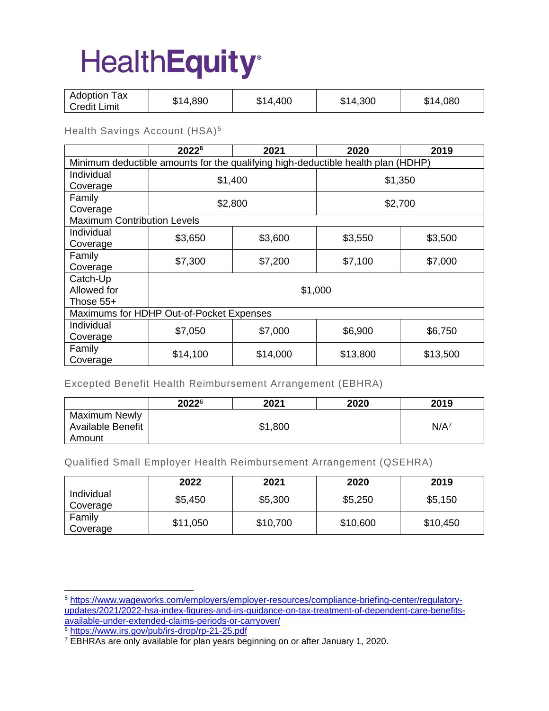| Adoption<br>Tax<br>\$14,890<br>4,300<br>080,<br>.400<br><b>S14</b><br>\$14.<br>14<br>Œ<br>  Credit Limit |  |
|----------------------------------------------------------------------------------------------------------|--|
|----------------------------------------------------------------------------------------------------------|--|

Health Savings Account (HSA)<sup>5</sup>

|                                                                                  | 2022 <sup>6</sup>                        | 2021     | 2020     | 2019     |  |  |
|----------------------------------------------------------------------------------|------------------------------------------|----------|----------|----------|--|--|
| Minimum deductible amounts for the qualifying high-deductible health plan (HDHP) |                                          |          |          |          |  |  |
| Individual                                                                       |                                          | \$1,400  |          | \$1,350  |  |  |
| Coverage                                                                         |                                          |          |          |          |  |  |
| Family                                                                           |                                          | \$2,800  |          | \$2,700  |  |  |
| Coverage                                                                         |                                          |          |          |          |  |  |
| <b>Maximum Contribution Levels</b>                                               |                                          |          |          |          |  |  |
| Individual                                                                       | \$3,650                                  | \$3,600  | \$3,550  | \$3,500  |  |  |
| Coverage                                                                         |                                          |          |          |          |  |  |
| Family                                                                           | \$7,300                                  | \$7,200  | \$7,100  | \$7,000  |  |  |
| Coverage                                                                         |                                          |          |          |          |  |  |
| Catch-Up                                                                         |                                          |          |          |          |  |  |
| Allowed for                                                                      | \$1,000                                  |          |          |          |  |  |
| Those $55+$                                                                      |                                          |          |          |          |  |  |
|                                                                                  | Maximums for HDHP Out-of-Pocket Expenses |          |          |          |  |  |
| Individual                                                                       | \$7,050                                  | \$7,000  | \$6,900  | \$6,750  |  |  |
| Coverage                                                                         |                                          |          |          |          |  |  |
| Family                                                                           | \$14,100                                 | \$14,000 | \$13,800 | \$13,500 |  |  |
| Coverage                                                                         |                                          |          |          |          |  |  |

Excepted Benefit Health Reimbursement Arrangement (EBHRA)

|                                           | 20226 | 2021    | 2020 | 2019    |
|-------------------------------------------|-------|---------|------|---------|
| Maximum Newly<br><b>Available Benefit</b> |       | \$1,800 |      | $N/A^7$ |
| Amount                                    |       |         |      |         |

Qualified Small Employer Health Reimbursement Arrangement (QSEHRA)

|                        | 2022     | 2021     | 2020     | 2019     |
|------------------------|----------|----------|----------|----------|
| Individual<br>Coverage | \$5,450  | \$5,300  | \$5,250  | \$5,150  |
| Family<br>Coverage     | \$11,050 | \$10,700 | \$10,600 | \$10,450 |

<sup>6</sup> <https://www.irs.gov/pub/irs-drop/rp-21-25.pdf>

<sup>5</sup> [https://www.wageworks.com/employers/employer-resources/compliance-briefing-center/regulatory](https://www.wageworks.com/employers/employer-resources/compliance-briefing-center/regulatory-updates/2021/2022-hsa-index-figures-and-irs-guidance-on-tax-treatment-of-dependent-care-benefits-available-under-extended-claims-periods-or-carryover/)[updates/2021/2022-hsa-index-figures-and-irs-guidance-on-tax-treatment-of-dependent-care-benefits](https://www.wageworks.com/employers/employer-resources/compliance-briefing-center/regulatory-updates/2021/2022-hsa-index-figures-and-irs-guidance-on-tax-treatment-of-dependent-care-benefits-available-under-extended-claims-periods-or-carryover/)[available-under-extended-claims-periods-or-carryover/](https://www.wageworks.com/employers/employer-resources/compliance-briefing-center/regulatory-updates/2021/2022-hsa-index-figures-and-irs-guidance-on-tax-treatment-of-dependent-care-benefits-available-under-extended-claims-periods-or-carryover/)

<sup>&</sup>lt;sup>7</sup> EBHRAs are only available for plan years beginning on or after January 1, 2020.